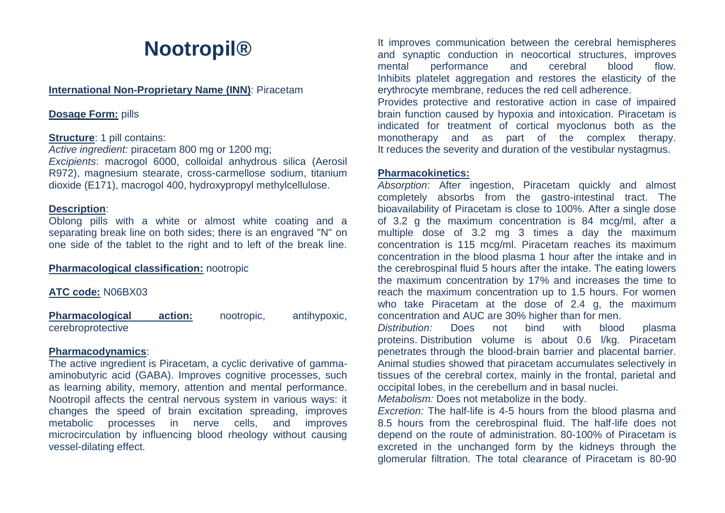# **Nootropil®**

#### **International Non-Proprietary Name (INN)**: Piracetam

## **Dosage Form:** pills

## **Structure: 1 pill contains:**

*Active ingredient:* piracetam 800 mg or 1200 mg; *Excipients*: macrogol 6000, colloidal anhydrous silica (Aerosil

R972), magnesium stearate, cross-carmellose sodium, titanium dioxide (E171), macrogol 400, hydroxypropyl methylcellulose.

## **Description**:

Oblong pills with a white or almost white coating and a separating break line on both sides; there is an engraved "N" on one side of the tablet to the right and to left of the break line.

#### **Pharmacological classification:** nootropic

## **ATC code:** N06BX03

**Pharmacological action:** nootropic, antihypoxic, cerebroprotective

#### **Pharmacodynamics**:

The active ingredient is Piracetam, a cyclic derivative of gammaaminobutyric acid (GABA). Improves cognitive processes, such as learning ability, memory, attention and mental performance. Nootropil affects the central nervous system in various ways: it changes the speed of brain excitation spreading, improves metabolic processes in nerve cells, and improves microcirculation by influencing blood rheology without causing vessel-dilating effect.

It improves communication between the cerebral hemispheres and synaptic conduction in neocortical structures, improves mental performance and cerebral blood flow. Inhibits platelet aggregation and restores the elasticity of the erythrocyte membrane, reduces the red cell adherence.

Provides protective and restorative action in case of impaired brain function caused by hypoxia and intoxication. Piracetam is indicated for treatment of cortical myoclonus both as the monotherapy and as part of the complex therapy. It reduces the severity and duration of the vestibular nystagmus.

#### **Pharmacokinetics:**

*Absorption*: After ingestion, Piracetam quickly and almost completely absorbs from the gastro-intestinal tract. The bioavailability of Piracetam is close to 100%. After a single dose of 3.2 g the maximum concentration is 84 mcg/ml, after a multiple dose of 3.2 mg 3 times a day the maximum concentration is 115 mcg/ml. Piracetam reaches its maximum concentration in the blood plasma 1 hour after the intake and in the cerebrospinal fluid 5 hours after the intake. The eating lowers the maximum concentration by 17% and increases the time to reach the maximum concentration up to 1.5 hours. For women who take Piracetam at the dose of 2.4 g, the maximum concentration and AUC are 30% higher than for men.

*Distribution:* Does not bind with blood plasma proteins. Distribution volume is about 0.6 l/kg. Piracetam penetrates through the blood-brain barrier and placental barrier. Animal studies showed that piracetam accumulates selectively in tissues of the cerebral cortex, mainly in the frontal, parietal and occipital lobes, in the cerebellum and in basal nuclei.

*Metabolism:* Does not metabolize in the body.

*Excretion:* The half-life is 4-5 hours from the blood plasma and 8.5 hours from the cerebrospinal fluid. The half-life does not depend on the route of administration. 80-100% of Piracetam is excreted in the unchanged form by the kidneys through the glomerular filtration. The total clearance of Piracetam is 80-90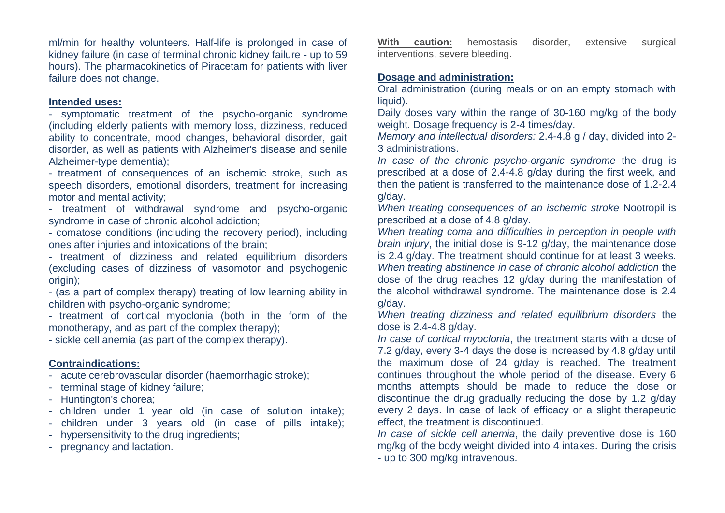ml/min for healthy volunteers. Half-life is prolonged in case of kidney failure (in case of terminal chronic kidney failure - up to 59 hours). The pharmacokinetics of Piracetam for patients with liver failure does not change.

#### **Intended uses:**

- symptomatic treatment of the psycho-organic syndrome (including elderly patients with memory loss, dizziness, reduced ability to concentrate, mood changes, behavioral disorder, gait disorder, as well as patients with Alzheimer's disease and senile Alzheimer-type dementia);

- treatment of consequences of an ischemic stroke, such as speech disorders, emotional disorders, treatment for increasing motor and mental activity;

- treatment of withdrawal syndrome and psycho-organic syndrome in case of chronic alcohol addiction;

- comatose conditions (including the recovery period), including ones after injuries and intoxications of the brain;

- treatment of dizziness and related equilibrium disorders (excluding cases of dizziness of vasomotor and psychogenic origin):

- (as a part of complex therapy) treating of low learning ability in children with psycho-organic syndrome;

- treatment of cortical myoclonia (both in the form of the monotherapy, and as part of the complex therapy);

- sickle cell anemia (as part of the complex therapy).

# **Contraindications:**

- acute cerebrovascular disorder (haemorrhagic stroke);

- terminal stage of kidney failure;
- Huntington's chorea;
- children under 1 year old (in case of solution intake);
- children under 3 years old (in case of pills intake);
- hypersensitivity to the drug ingredients;
- pregnancy and lactation.

**With caution:** hemostasis disorder, extensive surgical interventions, severe bleeding.

# **Dosage and administration:**

Oral administration (during meals or on an empty stomach with liquid).

Daily doses vary within the range of 30-160 mg/kg of the body weight. Dosage frequency is 2-4 times/day.

*Memory and intellectual disorders:* 2.4-4.8 g / day, divided into 2- 3 administrations.

*In case of the chronic psycho-organic syndrome* the drug is prescribed at a dose of 2.4-4.8 g/day during the first week, and then the patient is transferred to the maintenance dose of 1.2-2.4 g/day.

*When treating consequences of an ischemic stroke* Nootropil is prescribed at a dose of 4.8 g/day.

*When treating coma and difficulties in perception in people with brain injury*, the initial dose is 9-12 g/day, the maintenance dose is 2.4 g/day. The treatment should continue for at least 3 weeks. *When treating abstinence in case of chronic alcohol addiction* the dose of the drug reaches 12 g/day during the manifestation of the alcohol withdrawal syndrome. The maintenance dose is 2.4 g/day.

*When treating dizziness and related equilibrium disorders* the dose is 2.4-4.8 g/day.

*In case of cortical myoclonia*, the treatment starts with a dose of 7.2 g/day, every 3-4 days the dose is increased by 4.8 g/day until the maximum dose of 24 g/day is reached. The treatment continues throughout the whole period of the disease. Every 6 months attempts should be made to reduce the dose or discontinue the drug gradually reducing the dose by 1.2 g/day every 2 days. In case of lack of efficacy or a slight therapeutic effect, the treatment is discontinued.

*In case of sickle cell anemia*, the daily preventive dose is 160 mg/kg of the body weight divided into 4 intakes. During the crisis - up to 300 mg/kg intravenous.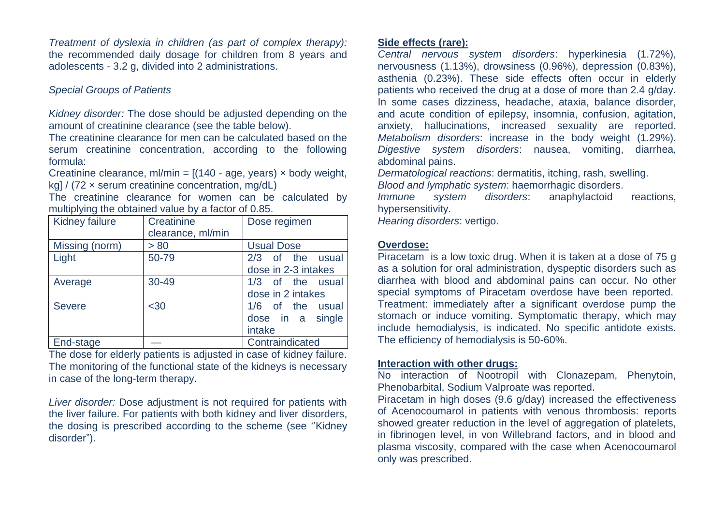*Treatment of dyslexia in children (as part of complex therapy):*  the recommended daily dosage for children from 8 years and adolescents - 3.2 g, divided into 2 administrations.

# *Special Groups of Patients*

*Kidney disorder:* The dose should be adjusted depending on the amount of creatinine clearance (see the table below).

The creatinine clearance for men can be calculated based on the serum creatinine concentration, according to the following formula:

Creatinine clearance, ml/min =  $[(140 - a<sub>ge</sub>, y<sub>ear</sub>) \times b<sub>od</sub>y$  weight, kg] / (72 × serum creatinine concentration, mg/dL)

The creatinine clearance for women can be calculated by multiplying the obtained value by a factor of 0.85.

| <b>Kidney failure</b> | Creatinine<br>clearance, ml/min | Dose regimen          |
|-----------------------|---------------------------------|-----------------------|
| Missing (norm)        | > 80                            | <b>Usual Dose</b>     |
| Light                 | 50-79                           | 2/3 of the usual      |
|                       |                                 | dose in 2-3 intakes   |
| Average               | 30-49                           | 1/3 of the usual      |
|                       |                                 | dose in 2 intakes     |
| <b>Severe</b>         | $30$                            | $1/6$ of the<br>usual |
|                       |                                 | dose in a<br>single   |
|                       |                                 | intake                |
| End-stage             |                                 | Contraindicated       |

The dose for elderly patients is adjusted in case of kidney failure. The monitoring of the functional state of the kidneys is necessary in case of the long-term therapy.

*Liver disorder:* Dose adjustment is not required for patients with the liver failure. For patients with both kidney and liver disorders, the dosing is prescribed according to the scheme (see ''Kidney disorder").

## **Side effects (rare):**

*Central nervous system disorders*: hyperkinesia (1.72%), nervousness (1.13%), drowsiness (0.96%), depression (0.83%), asthenia (0.23%). These side effects often occur in elderly patients who received the drug at a dose of more than 2.4 g/day. In some cases dizziness, headache, ataxia, balance disorder, and acute condition of epilepsy, insomnia, confusion, agitation, anxiety, hallucinations, increased sexuality are reported. *Metabolism disorders*: increase in the body weight (1.29%). *Digestive system disorders*: nausea, vomiting, diarrhea, abdominal pains.

*Dermatological reactions*: dermatitis, itching, rash, swelling. *Blood and lymphatic system*: haemorrhagic disorders.

*Immune system disorders*: anaphylactoid reactions,

hypersensitivity.

*Hearing disorders*: vertigo.

## **Overdose:**

Piracetam is a low toxic drug. When it is taken at a dose of 75 g as a solution for oral administration, dyspeptic disorders such as diarrhea with blood and abdominal pains can occur. No other special symptoms of Piracetam overdose have been reported. Treatment: immediately after a significant overdose pump the stomach or induce vomiting. Symptomatic therapy, which may include hemodialysis, is indicated. No specific antidote exists. The efficiency of hemodialysis is 50-60%.

# **Interaction with other drugs:**

No interaction of Nootropil with Clonazepam, Phenytoin, Phenobarbital, Sodium Valproate was reported.

Piracetam in high doses (9.6 g/day) increased the effectiveness of Acenocoumarol in patients with venous thrombosis: reports showed greater reduction in the level of aggregation of platelets, in fibrinogen level, in von Willebrand factors, and in blood and plasma viscosity, compared with the case when Acenocoumarol only was prescribed.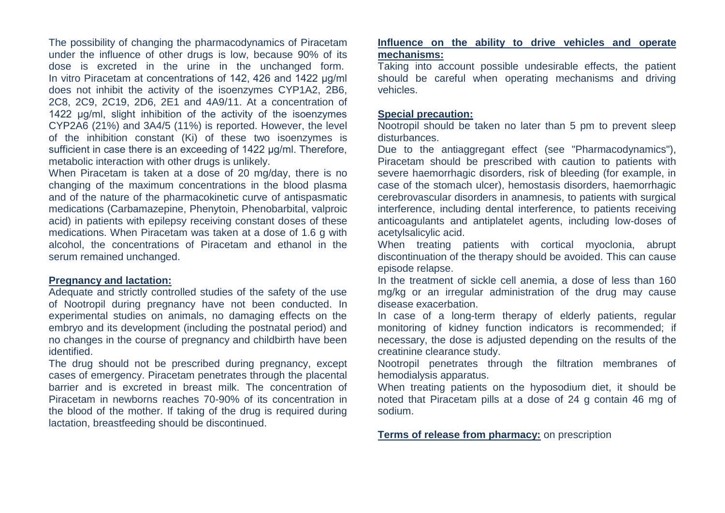The possibility of changing the pharmacodynamics of Piracetam under the influence of other drugs is low, because 90% of its dose is excreted in the urine in the unchanged form. In vitro Piracetam at concentrations of 142, 426 and 1422 μg/ml does not inhibit the activity of the isoenzymes CYP1A2, 2B6, 2C8, 2C9, 2C19, 2D6, 2E1 and 4A9/11. At a concentration of 1422 μg/ml, slight inhibition of the activity of the isoenzymes CYP2A6 (21%) and 3A4/5 (11%) is reported. However, the level of the inhibition constant (Ki) of these two isoenzymes is sufficient in case there is an exceeding of 1422 μg/ml. Therefore, metabolic interaction with other drugs is unlikely.

When Piracetam is taken at a dose of 20 mg/day, there is no changing of the maximum concentrations in the blood plasma and of the nature of the pharmacokinetic curve of antispasmatic medications (Carbamazepine, Phenytoin, Phenobarbital, valproic acid) in patients with epilepsy receiving constant doses of these medications. When Piracetam was taken at a dose of 1.6 g with alcohol, the concentrations of Piracetam and ethanol in the serum remained unchanged.

#### **Pregnancy and lactation:**

Adequate and strictly controlled studies of the safety of the use of Nootropil during pregnancy have not been conducted. In experimental studies on animals, no damaging effects on the embryo and its development (including the postnatal period) and no changes in the course of pregnancy and childbirth have been identified.

The drug should not be prescribed during pregnancy, except cases of emergency. Piracetam penetrates through the placental barrier and is excreted in breast milk. The concentration of Piracetam in newborns reaches 70-90% of its concentration in the blood of the mother. If taking of the drug is required during lactation, breastfeeding should be discontinued.

## **Influence on the ability to drive vehicles and operate mechanisms:**

Taking into account possible undesirable effects, the patient should be careful when operating mechanisms and driving vehicles.

#### **Special precaution:**

Nootropil should be taken no later than 5 pm to prevent sleep disturbances.

Due to the antiaggregant effect (see "Pharmacodynamics"), Piracetam should be prescribed with caution to patients with severe haemorrhagic disorders, risk of bleeding (for example, in case of the stomach ulcer), hemostasis disorders, haemorrhagic cerebrovascular disorders in anamnesis, to patients with surgical interference, including dental interference, to patients receiving anticoagulants and antiplatelet agents, including low-doses of acetylsalicylic acid.

When treating patients with cortical myoclonia, abrupt discontinuation of the therapy should be avoided. This can cause episode relapse.

In the treatment of sickle cell anemia, a dose of less than 160 mg/kg or an irregular administration of the drug may cause disease exacerbation.

In case of a long-term therapy of elderly patients, regular monitoring of kidney function indicators is recommended; if necessary, the dose is adjusted depending on the results of the creatinine clearance study.

Nootropil penetrates through the filtration membranes of hemodialysis apparatus.

When treating patients on the hyposodium diet, it should be noted that Piracetam pills at a dose of 24 g contain 46 mg of sodium.

**Terms of release from pharmacy:** on prescription